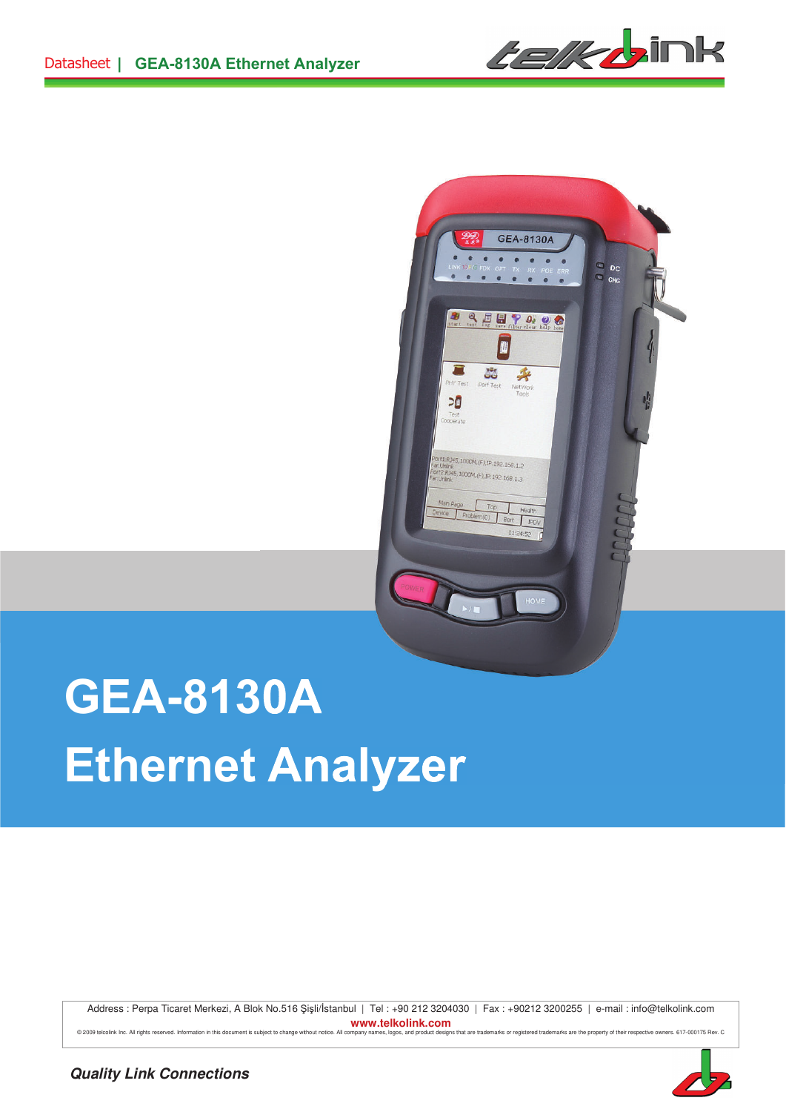



# **GEA-8130A Ethernet Analyzer**

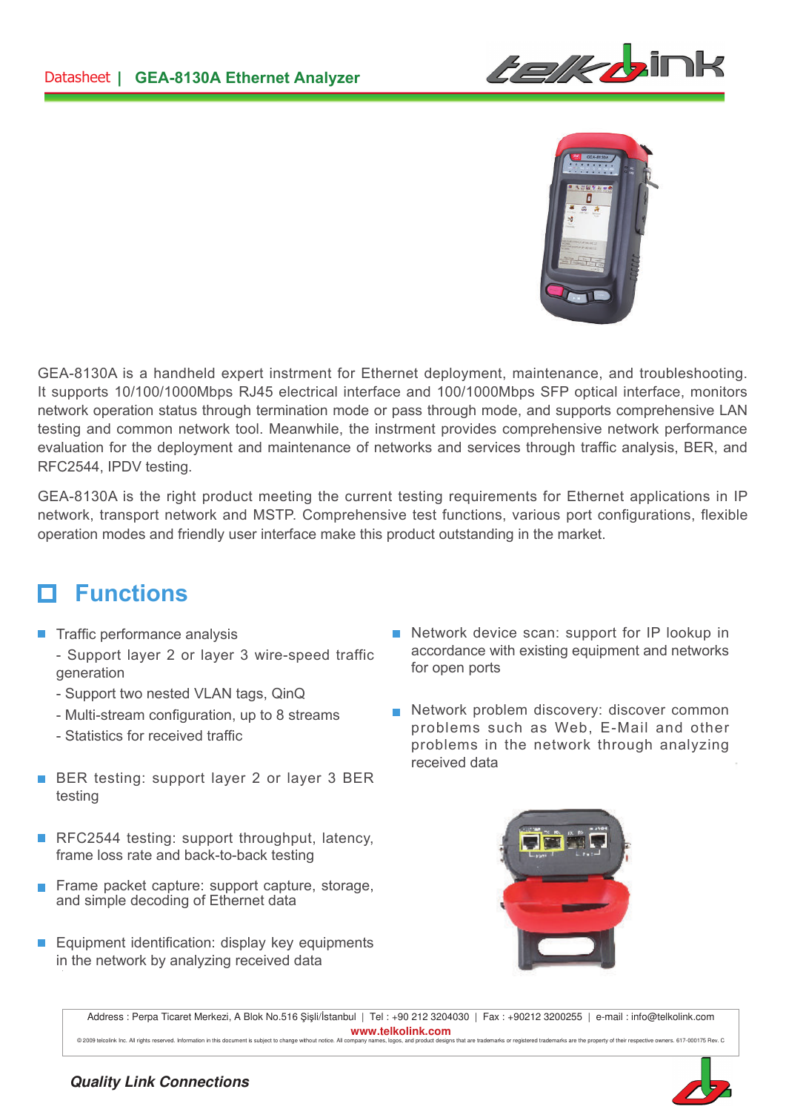



GEA-8130A is a handheld expert instrment for Ethernet deployment, maintenance, and troubleshooting. It supports 10/100/1000Mbps RJ45 electrical interface and 100/1000Mbps SFP optical interface, monitors network operation status through termination mode or pass through mode, and supports comprehensive LAN testing and common network tool. Meanwhile, the instrment provides comprehensive network performance evaluation for the deployment and maintenance of networks and services through traffic analysis, BER, and RFC2544, IPDV testing.

GEA-8130A is the right product meeting the current testing requirements for Ethernet applications in IP network, transport network and MSTP. Comprehensive test functions, various port configurations, flexible operation modes and friendly user interface make this product outstanding in the market.

# **Functions**

- $\blacksquare$  Traffic performance analysis
	- Support layer 2 or layer 3 wire-speed traffic generation
	- Support two nested VLAN tags, QinQ
	- Multi-stream configuration, up to 8 streams
	- Statistics for received traffic
- BER testing: support layer 2 or layer 3 BER testing
- RFC2544 testing: support throughput, latency, frame loss rate and back-to-back testing
- $\overline{\phantom{a}}$ Frame packet capture: support capture, storage, and simple decoding of Ethernet data
- Equipment identification: display key equipments in the network by analyzing received data
- Network device scan: support for IP lookup in accordance with existing equipment and networks for open ports
- Network problem discovery: discover common problems such as Web, E-Mail and other problems in the network through analyzing received data



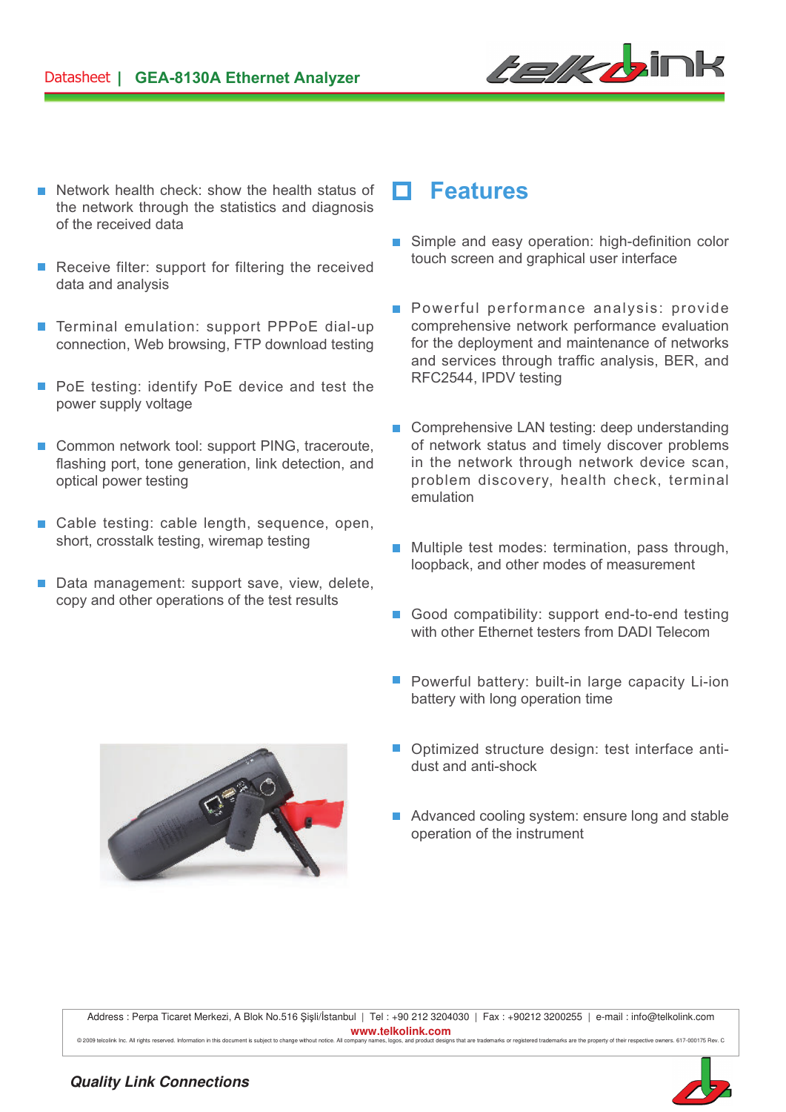

- **Network health check: show the health status of <b>Features** the network through the statistics and diagnosis of the received data
- $\mathcal{C}^{\mathcal{A}}$ Receive filter: support for filtering the received data and analysis
- Terminal emulation: support PPPoE dial-up  $\overline{\phantom{a}}$ connection, Web browsing, FTP download testing
- PoE testing: identify PoE device and test the  $\mathcal{C}^{\mathcal{A}}$ power supply voltage
- $\mathcal{C}^{\mathcal{A}}$ Common network tool: support PING, traceroute, flashing port, tone generation, link detection, and optical power testing
- Cable testing: cable length, sequence, open, short, crosstalk testing, wiremap testing
- Data management: support save, view, delete, copy and other operations of the test results

- Simple and easy operation: high-definition color touch screen and graphical user interface
- **Powerful performance analysis: provide** comprehensive network performance evaluation for the deployment and maintenance of networks and services through traffic analysis, BER, and RFC2544, IPDV testing
- Comprehensive LAN testing: deep understanding of network status and timely discover problems in the network through network device scan, problem discovery, health check, terminal emulation
- **Multiple test modes: termination, pass through,** loopback, and other modes of measurement
- Good compatibility: support end-to-end testing with other Ethernet testers from DADI Telecom
- **P** Powerful battery: built-in large capacity Li-ion battery with long operation time
- Optimized structure design: test interface antidust and anti-shock
- Advanced cooling system: ensure long and stable operation of the instrument

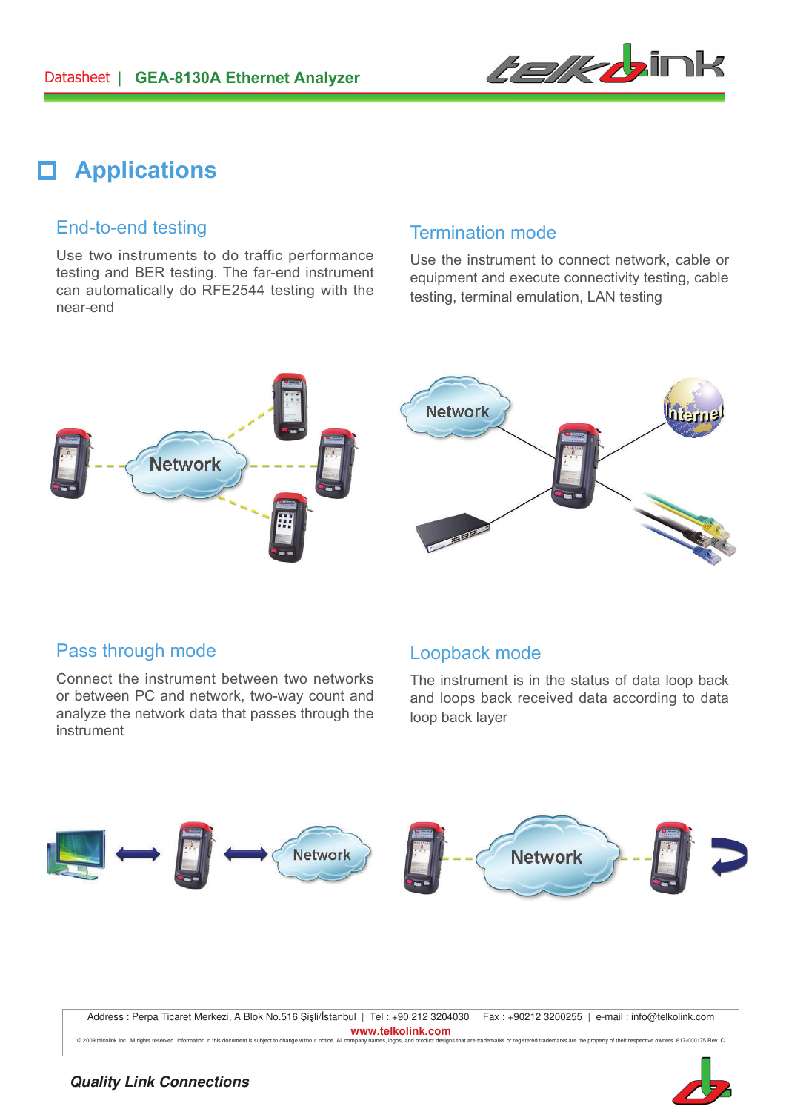

# **Applications**

#### End-to-end testing

Use two instruments to do traffic performance testing and BER testing. The far-end instrument can automatically do RFE2544 testing with the near-end

#### Termination mode

Use the instrument to connect network, cable or equipment and execute connectivity testing, cable testing, terminal emulation, LAN testing



### Pass through mode

Connect the instrument between two networks or between PC and network, two-way count and analyze the network data that passes through the instrument

#### Loopback mode

The instrument is in the status of data loop back and loops back received data according to data loop back layer